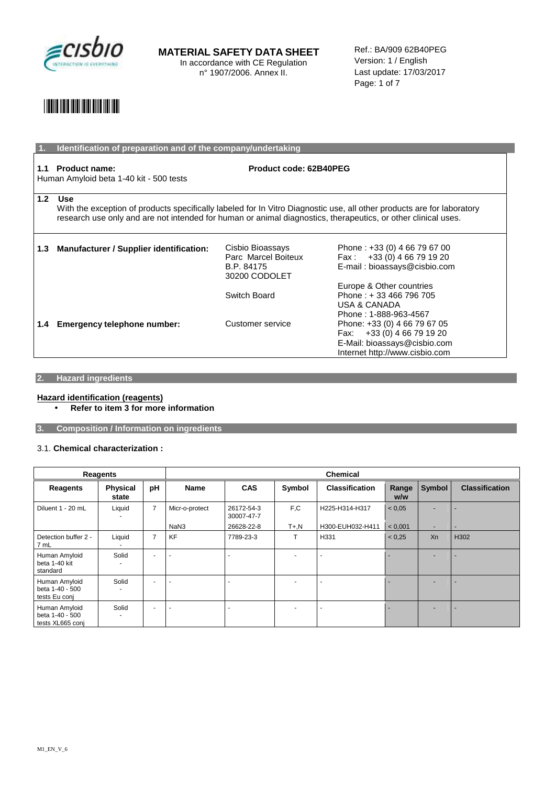

Ref.: BA/909 62B40PEG Version: 1 / English Last update: 17/03/2017 Page: 1 of 7

## \*29852\*

|                  | Identification of preparation and of the company/undertaking                                                                                                                                                                                   |                                                                        |                                                                                                                               |  |  |
|------------------|------------------------------------------------------------------------------------------------------------------------------------------------------------------------------------------------------------------------------------------------|------------------------------------------------------------------------|-------------------------------------------------------------------------------------------------------------------------------|--|--|
| 1.1              | Product code: 62B40PEG<br><b>Product name:</b><br>Human Amyloid beta 1-40 kit - 500 tests                                                                                                                                                      |                                                                        |                                                                                                                               |  |  |
| 1.2 <sub>2</sub> | Use<br>With the exception of products specifically labeled for In Vitro Diagnostic use, all other products are for laboratory<br>research use only and are not intended for human or animal diagnostics, therapeutics, or other clinical uses. |                                                                        |                                                                                                                               |  |  |
| 1.3              | Manufacturer / Supplier identification:                                                                                                                                                                                                        | Cisbio Bioassays<br>Parc Marcel Boiteux<br>B.P. 84175<br>30200 CODOLET | Phone: +33 (0) 4 66 79 67 00<br>Fax: $+33(0)$ 4 66 79 19 20<br>E-mail: bioassays@cisbio.com<br>Europe & Other countries       |  |  |
|                  |                                                                                                                                                                                                                                                | Switch Board                                                           | Phone: +33 466 796 705<br><b>USA &amp; CANADA</b><br>Phone: 1-888-963-4567                                                    |  |  |
| 1.4              | <b>Emergency telephone number:</b>                                                                                                                                                                                                             | Customer service                                                       | Phone: +33 (0) 4 66 79 67 05<br>Fax: $+33(0)$ 4 66 79 19 20<br>E-Mail: bioassays@cisbio.com<br>Internet http://www.cisbio.com |  |  |

#### **2. Hazard ingredients**

#### **Hazard identification (reagents)**

• **Refer to item 3 for more information** 

**3. Composition / Information on ingredients** 

#### 3.1. **Chemical characterization :**

| Reagents                                             |                          |                | <b>Chemical</b> |                          |                          |                       |              |                          |                          |
|------------------------------------------------------|--------------------------|----------------|-----------------|--------------------------|--------------------------|-----------------------|--------------|--------------------------|--------------------------|
| Reagents                                             | <b>Physical</b><br>state | pH             | <b>Name</b>     | <b>CAS</b>               | Symbol                   | <b>Classification</b> | Range<br>w/w | Symbol                   | <b>Classification</b>    |
| Diluent 1 - 20 mL                                    | Liquid                   | $\overline{7}$ | Micr-o-protect  | 26172-54-3<br>30007-47-7 | F.C                      | H225-H314-H317        | < 0.05       |                          |                          |
|                                                      |                          |                | NaN3            | 26628-22-8               | $T + N$                  | H300-EUH032-H411      | < 0.001      | $\overline{\phantom{a}}$ | $\overline{\phantom{a}}$ |
| Detection buffer 2 -<br>7 mL                         | Liquid                   | $\overline{7}$ | <b>KF</b>       | 7789-23-3                | $\mathbf \tau$           | H331                  | < 0.25       | Xn                       | H302                     |
| Human Amyloid<br>beta 1-40 kit<br>standard           | Solid                    | ٠              |                 |                          | $\overline{a}$           |                       |              |                          |                          |
| Human Amyloid<br>beta 1-40 - 500<br>tests Eu conj    | Solid                    | ٠              |                 |                          | $\overline{a}$           |                       |              |                          |                          |
| Human Amyloid<br>beta 1-40 - 500<br>tests XL665 conj | Solid                    | ٠              |                 |                          | $\overline{\phantom{a}}$ |                       |              |                          |                          |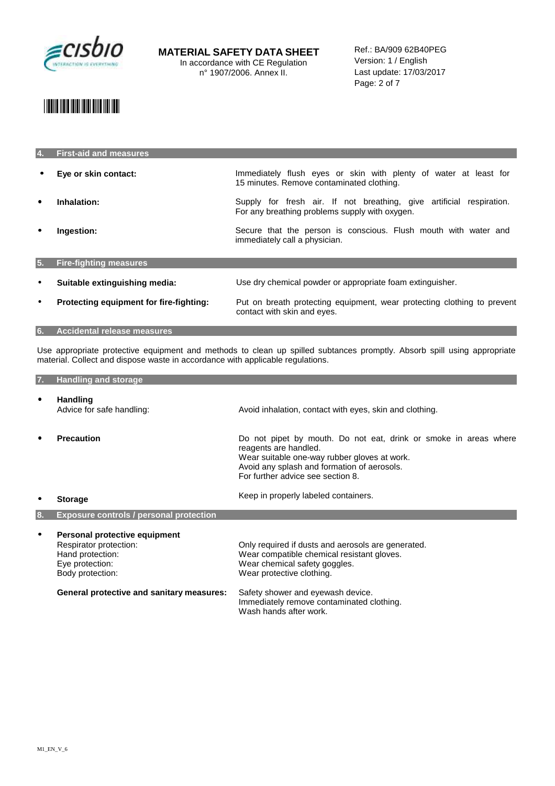

### \*29852\*

| 4.        | <b>First-aid and measures</b>           |                                                                                                                        |
|-----------|-----------------------------------------|------------------------------------------------------------------------------------------------------------------------|
|           | Eye or skin contact:                    | Immediately flush eyes or skin with plenty of water at least for<br>15 minutes. Remove contaminated clothing.          |
|           | Inhalation:                             | Supply for fresh air. If not breathing, give artificial respiration.<br>For any breathing problems supply with oxygen. |
| ٠         | Ingestion:                              | Secure that the person is conscious. Flush mouth with water and<br>immediately call a physician.                       |
| 5.        | <b>Fire-fighting measures</b>           |                                                                                                                        |
| $\bullet$ | Suitable extinguishing media:           | Use dry chemical powder or appropriate foam extinguisher.                                                              |
| $\bullet$ | Protecting equipment for fire-fighting: | Put on breath protecting equipment, wear protecting clothing to prevent<br>contact with skin and eyes.                 |
| 6.        | <b>Accidental release measures</b>      |                                                                                                                        |

Use appropriate protective equipment and methods to clean up spilled subtances promptly. Absorb spill using appropriate material. Collect and dispose waste in accordance with applicable regulations.

| 7. | <b>Handling and storage</b>                                                                                                                                     |                                                                                                                                                                                                                                                                            |
|----|-----------------------------------------------------------------------------------------------------------------------------------------------------------------|----------------------------------------------------------------------------------------------------------------------------------------------------------------------------------------------------------------------------------------------------------------------------|
|    | <b>Handling</b><br>Advice for safe handling:                                                                                                                    | Avoid inhalation, contact with eyes, skin and clothing.                                                                                                                                                                                                                    |
|    | <b>Precaution</b>                                                                                                                                               | Do not pipet by mouth. Do not eat, drink or smoke in areas where<br>reagents are handled.<br>Wear suitable one-way rubber gloves at work.<br>Avoid any splash and formation of aerosols.<br>For further advice see section 8.                                              |
|    | <b>Storage</b>                                                                                                                                                  | Keep in properly labeled containers.                                                                                                                                                                                                                                       |
| 8. | <b>Exposure controls / personal protection</b>                                                                                                                  |                                                                                                                                                                                                                                                                            |
|    | Personal protective equipment<br>Respirator protection:<br>Hand protection:<br>Eye protection:<br>Body protection:<br>General protective and sanitary measures: | Only required if dusts and aerosols are generated.<br>Wear compatible chemical resistant gloves.<br>Wear chemical safety goggles.<br>Wear protective clothing.<br>Safety shower and eyewash device.<br>Immediately remove contaminated clothing.<br>Wash hands after work. |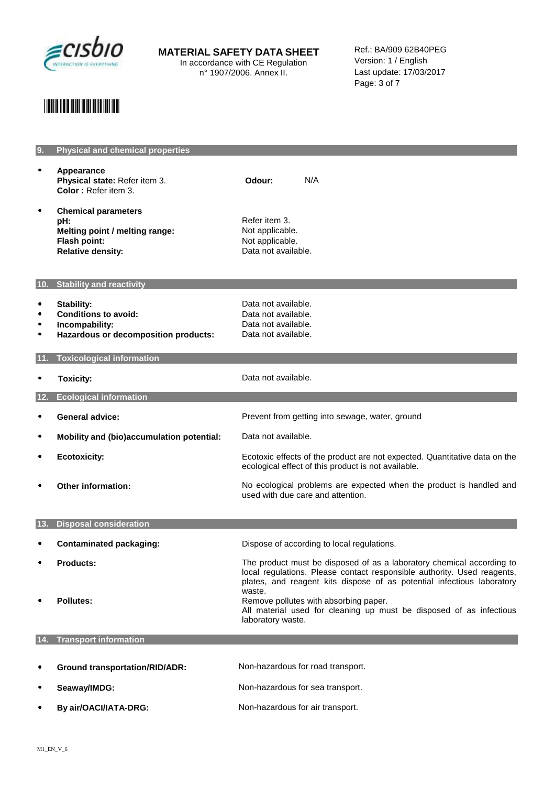

**MATERIAL SAFETY DATA SHEET**  In accordance with CE Regulation

n° 1907/2006. Annex II.

Ref.: BA/909 62B40PEG Version: 1 / English Last update: 17/03/2017 Page: 3 of 7

## \*29852\*

| 9.     | <b>Physical and chemical properties</b>                                                                         |                                                                                                                                                                                                                                      |
|--------|-----------------------------------------------------------------------------------------------------------------|--------------------------------------------------------------------------------------------------------------------------------------------------------------------------------------------------------------------------------------|
|        | Appearance<br>Physical state: Refer item 3.<br>Color: Refer item 3.                                             | N/A<br>Odour:                                                                                                                                                                                                                        |
| ٠      | <b>Chemical parameters</b><br>pH:<br>Melting point / melting range:<br>Flash point:<br><b>Relative density:</b> | Refer item 3.<br>Not applicable.<br>Not applicable.<br>Data not available.                                                                                                                                                           |
|        | 10. Stability and reactivity                                                                                    |                                                                                                                                                                                                                                      |
| ٠<br>٠ | <b>Stability:</b><br><b>Conditions to avoid:</b><br>Incompability:<br>Hazardous or decomposition products:      | Data not available.<br>Data not available.<br>Data not available.<br>Data not available.                                                                                                                                             |
|        | <b>Toxicological information</b>                                                                                |                                                                                                                                                                                                                                      |
|        | <b>Toxicity:</b>                                                                                                | Data not available.                                                                                                                                                                                                                  |
| 12.    | <b>Ecological information</b>                                                                                   |                                                                                                                                                                                                                                      |
|        | General advice:                                                                                                 | Prevent from getting into sewage, water, ground                                                                                                                                                                                      |
| ٠      | Mobility and (bio)accumulation potential:                                                                       | Data not available.                                                                                                                                                                                                                  |
|        | <b>Ecotoxicity:</b>                                                                                             | Ecotoxic effects of the product are not expected. Quantitative data on the<br>ecological effect of this product is not available.                                                                                                    |
|        | <b>Other information:</b>                                                                                       | No ecological problems are expected when the product is handled and<br>used with due care and attention.                                                                                                                             |
| 13.    | <b>Disposal consideration</b>                                                                                   |                                                                                                                                                                                                                                      |
|        |                                                                                                                 |                                                                                                                                                                                                                                      |
|        | <b>Contaminated packaging:</b>                                                                                  | Dispose of according to local regulations.                                                                                                                                                                                           |
|        | <b>Products:</b>                                                                                                | The product must be disposed of as a laboratory chemical according to<br>local regulations. Please contact responsible authority. Used reagents,<br>plates, and reagent kits dispose of as potential infectious laboratory<br>waste. |
|        | <b>Pollutes:</b>                                                                                                | Remove pollutes with absorbing paper.<br>All material used for cleaning up must be disposed of as infectious<br>laboratory waste.                                                                                                    |
| 14.    | <b>Transport information</b>                                                                                    |                                                                                                                                                                                                                                      |
|        | <b>Ground transportation/RID/ADR:</b>                                                                           | Non-hazardous for road transport.                                                                                                                                                                                                    |
|        | Seaway/IMDG:                                                                                                    | Non-hazardous for sea transport.                                                                                                                                                                                                     |

• **By air/OACI/IATA-DRG:** Non-hazardous for air transport.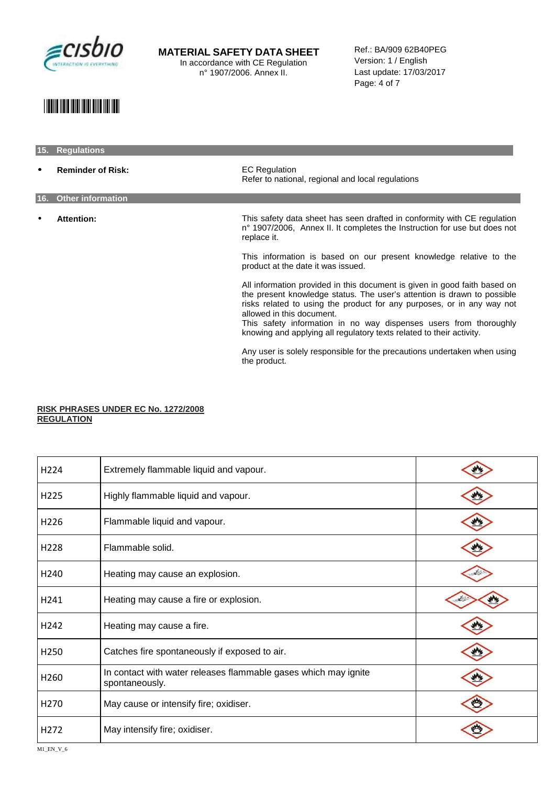

Ref.: BA/909 62B40PEG Version: 1 / English Last update: 17/03/2017 Page: 4 of 7

### \*29852\*

### **15. Regulations**

**Reminder of Risk: EC Regulation** Refer to national, regional and local regulations **16. Other information**  • **Attention:** This safety data sheet has seen drafted in conformity with CE regulation n° 1907/2006, Annex II. It completes the Instruction for use but does not replace it. This information is based on our present knowledge relative to the product at the date it was issued. All information provided in this document is given in good faith based on the present knowledge status. The user's attention is drawn to possible risks related to using the product for any purposes, or in any way not allowed in this document. This safety information in no way dispenses users from thoroughly knowing and applying all regulatory texts related to their activity.

> Any user is solely responsible for the precautions undertaken when using the product.

#### **RISK PHRASES UNDER EC No. 1272/2008 REGULATION**

| H224             | Extremely flammable liquid and vapour.                                            |  |
|------------------|-----------------------------------------------------------------------------------|--|
| H225             | Highly flammable liquid and vapour.                                               |  |
| H226             | Flammable liquid and vapour.                                                      |  |
| H <sub>228</sub> | Flammable solid.                                                                  |  |
| H240             | Heating may cause an explosion.                                                   |  |
| H241             | Heating may cause a fire or explosion.                                            |  |
| H242             | Heating may cause a fire.                                                         |  |
| H250             | Catches fire spontaneously if exposed to air.                                     |  |
| H <sub>260</sub> | In contact with water releases flammable gases which may ignite<br>spontaneously. |  |
| H <sub>270</sub> | May cause or intensify fire; oxidiser.                                            |  |
| H <sub>272</sub> | May intensify fire; oxidiser.                                                     |  |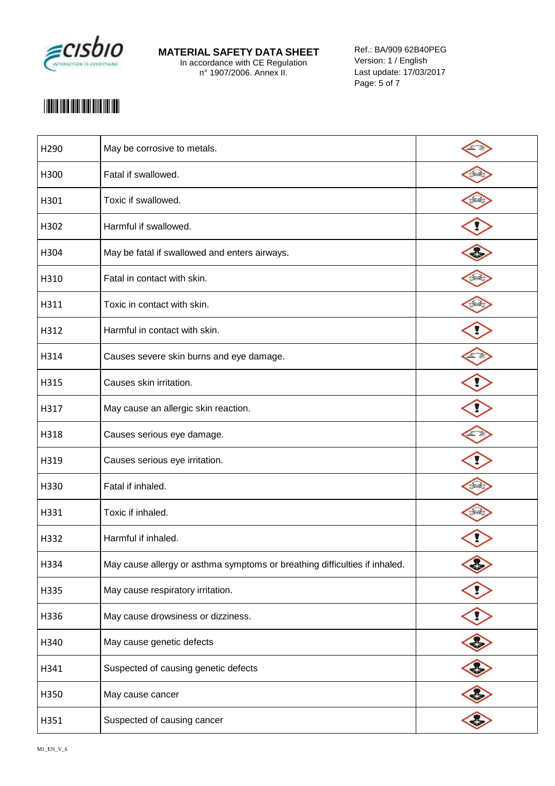

Ref.: BA/909 62B40PEG Version: 1 / English Last update: 17/03/2017 Page: 5 of 7

## \*29852\*

| H290 | May be corrosive to metals.                                                |  |
|------|----------------------------------------------------------------------------|--|
| H300 | Fatal if swallowed.                                                        |  |
| H301 | Toxic if swallowed.                                                        |  |
| H302 | Harmful if swallowed.                                                      |  |
| H304 | May be fatal if swallowed and enters airways.                              |  |
| H310 | Fatal in contact with skin.                                                |  |
| H311 | Toxic in contact with skin.                                                |  |
| H312 | Harmful in contact with skin.                                              |  |
| H314 | Causes severe skin burns and eye damage.                                   |  |
| H315 | Causes skin irritation.                                                    |  |
| H317 | May cause an allergic skin reaction.                                       |  |
| H318 | Causes serious eye damage.                                                 |  |
| H319 | Causes serious eye irritation.                                             |  |
| H330 | Fatal if inhaled.                                                          |  |
| H331 | Toxic if inhaled.                                                          |  |
| H332 | Harmful if inhaled.                                                        |  |
| H334 | May cause allergy or asthma symptoms or breathing difficulties if inhaled. |  |
| H335 | May cause respiratory irritation.                                          |  |
| H336 | May cause drowsiness or dizziness.                                         |  |
| H340 | May cause genetic defects                                                  |  |
| H341 | Suspected of causing genetic defects                                       |  |
| H350 | May cause cancer                                                           |  |
| H351 | Suspected of causing cancer                                                |  |
|      |                                                                            |  |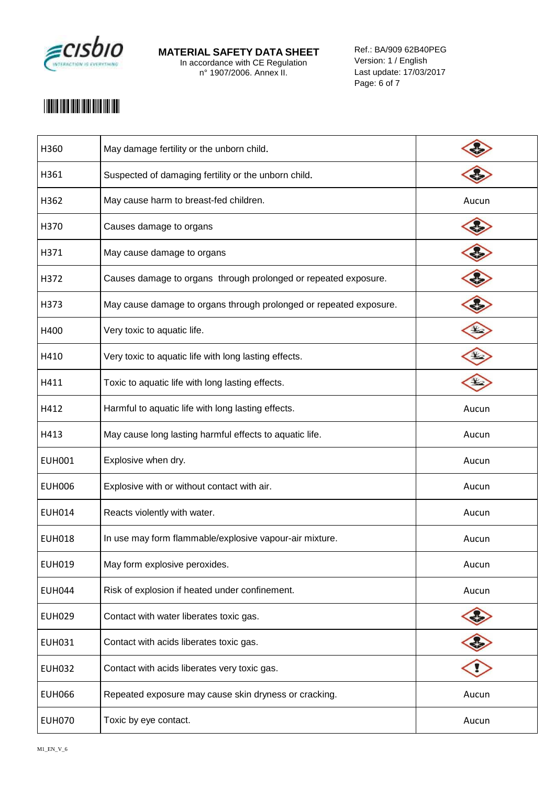

Ref.: BA/909 62B40PEG Version: 1 / English Last update: 17/03/2017 Page: 6 of 7

## \*29852\*

| H360          | May damage fertility or the unborn child.                          |             |
|---------------|--------------------------------------------------------------------|-------------|
| H361          | Suspected of damaging fertility or the unborn child.               |             |
| H362          | May cause harm to breast-fed children.                             | Aucun       |
| H370          | Causes damage to organs                                            |             |
| H371          | May cause damage to organs                                         |             |
| H372          | Causes damage to organs through prolonged or repeated exposure.    |             |
| H373          | May cause damage to organs through prolonged or repeated exposure. |             |
| H400          | Very toxic to aquatic life.                                        | $\bigoplus$ |
| H410          | Very toxic to aquatic life with long lasting effects.              |             |
| H411          | Toxic to aquatic life with long lasting effects.                   |             |
| H412          | Harmful to aquatic life with long lasting effects.                 | Aucun       |
| H413          | May cause long lasting harmful effects to aquatic life.            | Aucun       |
| <b>EUH001</b> | Explosive when dry.                                                | Aucun       |
| <b>EUH006</b> | Explosive with or without contact with air.                        | Aucun       |
| <b>EUH014</b> | Reacts violently with water.                                       | Aucun       |
| <b>EUH018</b> | In use may form flammable/explosive vapour-air mixture.            | Aucun       |
| <b>EUH019</b> | May form explosive peroxides.                                      | Aucun       |
| <b>EUH044</b> | Risk of explosion if heated under confinement.                     | Aucun       |
| <b>EUH029</b> | Contact with water liberates toxic gas.                            |             |
| <b>EUH031</b> | Contact with acids liberates toxic gas.                            |             |
| <b>EUH032</b> | Contact with acids liberates very toxic gas.                       |             |
| <b>EUH066</b> | Repeated exposure may cause skin dryness or cracking.              | Aucun       |
| <b>EUH070</b> | Toxic by eye contact.                                              | Aucun       |
|               |                                                                    |             |